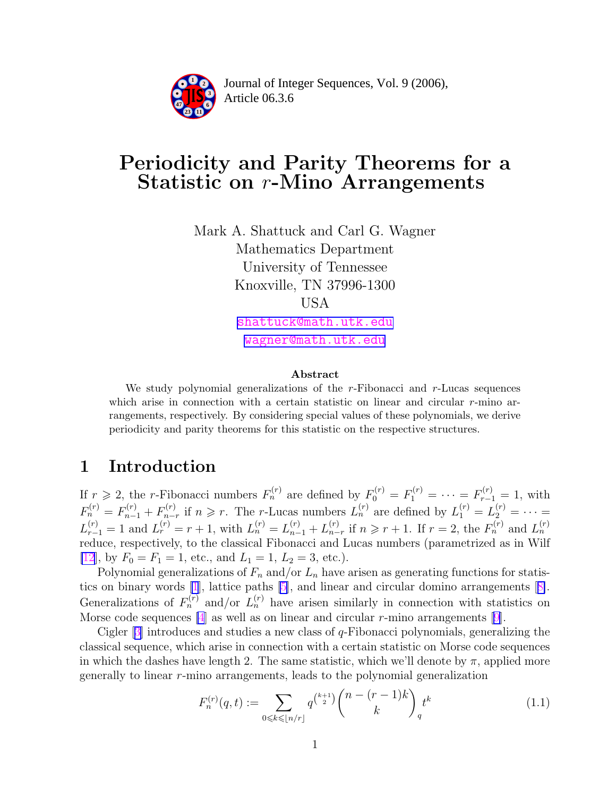

Article 06.3.6 **<sup>2</sup>** Journal of Integer Sequences, Vol. 9 (2006),

# Periodicity and Parity Theorems for a Statistic on r-Mino Arrangements

Mark A. Shattuck and Carl G. Wagner Mathematics Department University of Tennessee Knoxville, TN 37996-1300 USA [shattuck@math.utk.edu](mailto:shattuck@math.utk.edu) [wagner@math.utk.edu](mailto:wagner@math.utk.edu)

#### Abstract

We study polynomial generalizations of the  $r$ -Fibonacci and  $r$ -Lucas sequences which arise in connection with a certain statistic on linear and circular  $r$ -mino arrangements, respectively. By considering special values of these polynomials, we derive periodicity and parity theorems for this statistic on the respective structures.

### 1 Introduction

If  $r \geq 2$ , the r-Fibonacci numbers  $F_n^{(r)}$  are defined by  $F_0^{(r)} = F_1^{(r)} = \cdots = F_{r-1}^{(r)} = 1$ , with  $F_n^{(r)} = F_{n-1}^{(r)} + F_{n-1}^{(r)}$  $h^{(r)}_{n-r}$  if  $n \geq r$ . The r-Lucas numbers  $L_n^{(r)}$  are defined by  $L_1^{(r)} = L_2^{(r)} = \cdots =$  $L_{r-1}^{(r)} = 1$  and  $L_r^{(r)} = r + 1$ , with  $L_n^{(r)} = L_{n-1}^{(r)} + L_{n-1}^{(r)}$  $\lim_{n-r}$  if  $n \geq r+1$ . If  $r = 2$ , the  $F_n^{(r)}$  and  $L_n^{(r)}$ reduce, respectively, to the classical Fibonacci and Lucas numbers (parametrized as in Wilf [\[12](#page-16-0)], by  $F_0 = F_1 = 1$ , etc., and  $L_1 = 1$ ,  $L_2 = 3$ , etc.).

Polynomial generalizations of  $F_n$  and/or  $L_n$  have arisen as generating functions for statistics on binary words [\[1](#page-16-0)], lattice paths [\[5\]](#page-16-0), and linear and circular domino arrangements [[8\]](#page-16-0). Generalizations of  $F_n^{(r)}$  and/or  $L_n^{(r)}$  have arisen similarly in connection with statistics on Morse code sequences  $[4]$  $[4]$  as well as on linear and circular r-mino arrangements  $[9]$  $[9]$ .

Cigler  $[3]$  $[3]$  introduces and studies a new class of q-Fibonacci polynomials, generalizing the classical sequence, which arise in connection with a certain statistic on Morse code sequences in which the dashes have length 2. The same statistic, which we'll denote by  $\pi$ , applied more generally to linear r-mino arrangements, leads to the polynomial generalization

$$
F_n^{(r)}(q,t) := \sum_{0 \le k \le \lfloor n/r \rfloor} q^{\binom{k+1}{2}} \binom{n-(r-1)k}{k}_{q} t^k \tag{1.1}
$$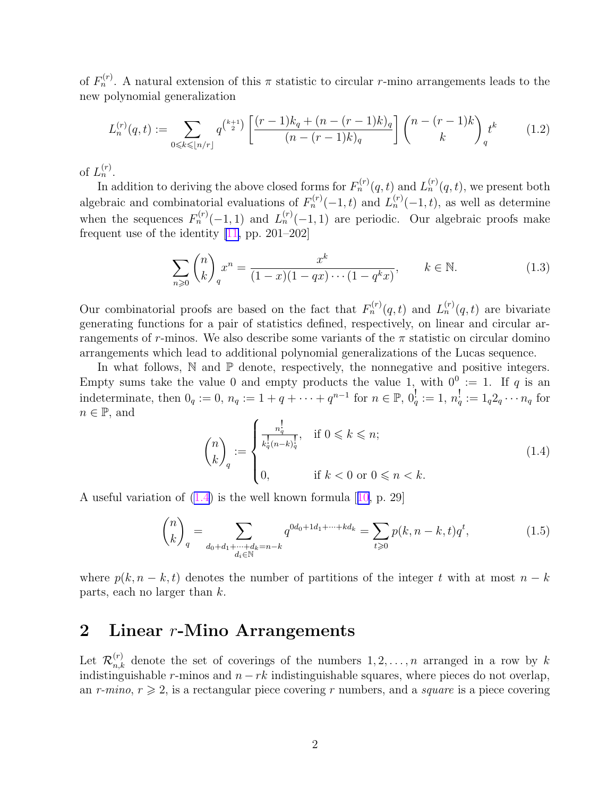<span id="page-1-0"></span>of  $F_n^{(r)}$ . A natural extension of this  $\pi$  statistic to circular r-mino arrangements leads to the new polynomial generalization

$$
L_n^{(r)}(q,t) := \sum_{0 \le k \le \lfloor n/r \rfloor} q^{\binom{k+1}{2}} \left[ \frac{(r-1)k_q + (n - (r-1)k)_q}{(n - (r-1)k)_q} \right] \binom{n - (r-1)k}{k}_q t^k \tag{1.2}
$$

of  $L_n^{(r)}$ .

In addition to deriving the above closed forms for  $F_n^{(r)}(q,t)$  and  $L_n^{(r)}(q,t)$ , we present both algebraic and combinatorial evaluations of  $F_n^{(r)}(-1, t)$  and  $L_n^{(r)}(-1, t)$ , as well as determine when the sequences  $F_n^{(r)}(-1,1)$  and  $L_n^{(r)}(-1,1)$  are periodic. Our algebraic proofs make frequent use of the identity [\[11,](#page-16-0) pp. 201–202]

$$
\sum_{n\geq 0} \binom{n}{k}_q x^n = \frac{x^k}{(1-x)(1-qx)\cdots(1-q^kx)}, \qquad k \in \mathbb{N}.
$$
 (1.3)

Our combinatorial proofs are based on the fact that  $F_n^{(r)}(q,t)$  and  $L_n^{(r)}(q,t)$  are bivariate generating functions for a pair of statistics defined, respectively, on linear and circular arrangements of r-minos. We also describe some variants of the  $\pi$  statistic on circular domino arrangements which lead to additional polynomial generalizations of the Lucas sequence.

In what follows,  $\mathbb N$  and  $\mathbb P$  denote, respectively, the nonnegative and positive integers. Empty sums take the value 0 and empty products the value 1, with  $0^0 := 1$ . If q is an indeterminate, then  $0_q := 0$ ,  $n_q := 1 + q + \cdots + q^{n-1}$  for  $n \in \mathbb{P}$ ,  $0_q^{\dagger} := 1$ ,  $n_q^{\dagger} := 1_q 2_q \cdots n_q$  for  $n \in \mathbb{P}$ , and

$$
\binom{n}{k}_q := \begin{cases} \frac{n_q^!}{k_q^!(n-k)_q^!}, & \text{if } 0 \leq k \leq n; \\ 0, & \text{if } k < 0 \text{ or } 0 \leq n < k. \end{cases} \tag{1.4}
$$

A useful variation of  $(1.4)$  is the well known formula [[10,](#page-16-0) p. 29]

$$
\binom{n}{k}_q = \sum_{\substack{d_0 + d_1 + \dots + d_k = n - k \\ d_i \in \mathbb{N}}} q^{0d_0 + 1d_1 + \dots + kd_k} = \sum_{t \ge 0} p(k, n - k, t) q^t,\tag{1.5}
$$

where  $p(k, n - k, t)$  denotes the number of partitions of the integer t with at most  $n - k$ parts, each no larger than k.

#### 2 Linear r-Mino Arrangements

Let  $\mathcal{R}_{n,k}^{(r)}$  denote the set of coverings of the numbers  $1, 2, \ldots, n$  arranged in a row by k indistinguishable r-minos and  $n - rk$  indistinguishable squares, where pieces do not overlap, an r-mino,  $r \geqslant 2$ , is a rectangular piece covering r numbers, and a *square* is a piece covering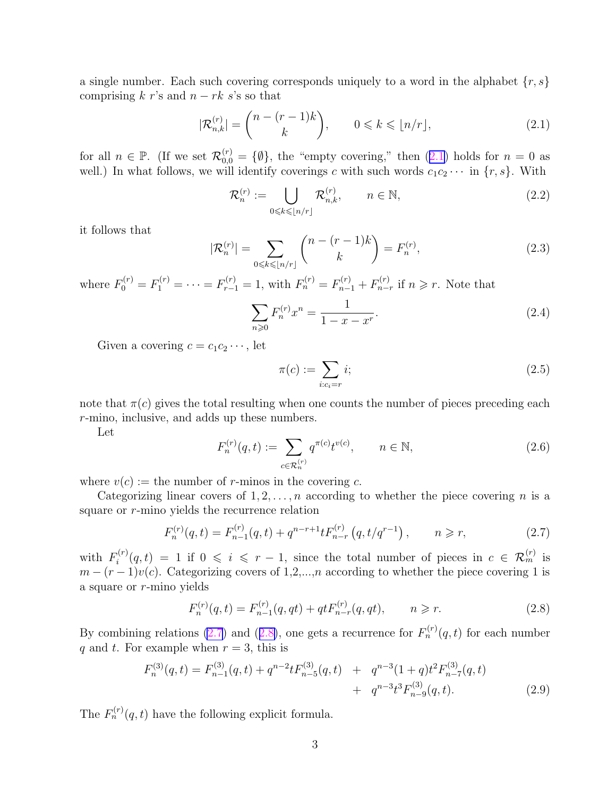<span id="page-2-0"></span>a single number. Each such covering corresponds uniquely to a word in the alphabet  $\{r, s\}$ comprising k r's and  $n - rk$  s's so that

$$
|\mathcal{R}_{n,k}^{(r)}| = \binom{n - (r - 1)k}{k}, \qquad 0 \le k \le \lfloor n/r \rfloor, \tag{2.1}
$$

for all  $n \in \mathbb{P}$ . (If we set  $\mathcal{R}_{0,0}^{(r)} = \{\emptyset\}$ , the "empty covering," then  $(2.1)$  holds for  $n = 0$  as well.) In what follows, we will identify coverings c with such words  $c_1c_2 \cdots$  in  $\{r, s\}$ . With

$$
\mathcal{R}_n^{(r)} := \bigcup_{0 \le k \le \lfloor n/r \rfloor} \mathcal{R}_{n,k}^{(r)}, \qquad n \in \mathbb{N},\tag{2.2}
$$

it follows that

$$
|\mathcal{R}_n^{(r)}| = \sum_{0 \le k \le \lfloor n/r \rfloor} \binom{n - (r - 1)k}{k} = F_n^{(r)},\tag{2.3}
$$

where  $F_0^{(r)} = F_1^{(r)} = \cdots = F_{r-1}^{(r)} = 1$ , with  $F_n^{(r)} = F_{n-1}^{(r)} + F_{n-1}^{(r)}$  $_{n-r}^{(r)}$  if  $n \geq r$ . Note that

$$
\sum_{n\geqslant 0} F_n^{(r)} x^n = \frac{1}{1 - x - x^r}.
$$
\n(2.4)

Given a covering  $c = c_1 c_2 \cdots$ , let

$$
\pi(c) := \sum_{i:c_i=r} i; \tag{2.5}
$$

note that  $\pi(c)$  gives the total resulting when one counts the number of pieces preceding each r-mino, inclusive, and adds up these numbers.

Let

$$
F_n^{(r)}(q,t) := \sum_{c \in \mathcal{R}_n^{(r)}} q^{\pi(c)} t^{v(c)}, \qquad n \in \mathbb{N},
$$
\n(2.6)

where  $v(c) :=$  the number of r-minos in the covering c.

Categorizing linear covers of  $1, 2, ..., n$  according to whether the piece covering n is a square or r-mino yields the recurrence relation

$$
F_n^{(r)}(q,t) = F_{n-1}^{(r)}(q,t) + q^{n-r+1} t F_{n-r}^{(r)}(q,t/q^{r-1}), \qquad n \ge r,
$$
\n(2.7)

with  $F_i^{(r)}$  $i^{(r)}(q,t) = 1$  if  $0 \leqslant i \leqslant r-1$ , since the total number of pieces in  $c \in \mathcal{R}_m^{(r)}$  is  $m - (r - 1)v(c)$ . Categorizing covers of 1,2,...,n according to whether the piece covering 1 is a square or r-mino yields

$$
F_n^{(r)}(q,t) = F_{n-1}^{(r)}(q,qt) + qtF_{n-r}^{(r)}(q,qt), \qquad n \geq r.
$$
 (2.8)

By combining relations (2.7) and (2.8), one gets a recurrence for  $F_n^{(r)}(q,t)$  for each number q and t. For example when  $r = 3$ , this is

$$
F_n^{(3)}(q,t) = F_{n-1}^{(3)}(q,t) + q^{n-2}tF_{n-5}^{(3)}(q,t) + q^{n-3}(1+q)t^2F_{n-7}^{(3)}(q,t) + q^{n-3}t^3F_{n-9}^{(3)}(q,t).
$$
 (2.9)

The  $F_n^{(r)}(q,t)$  have the following explicit formula.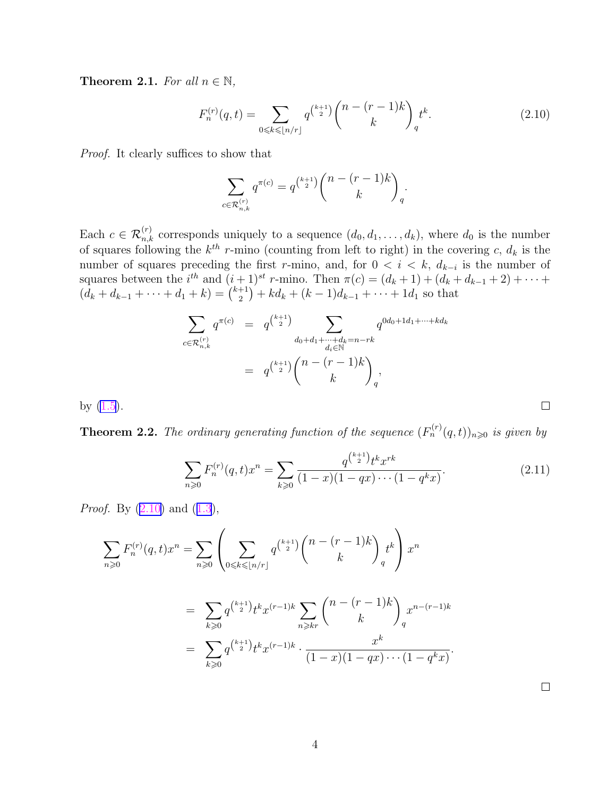<span id="page-3-0"></span>**Theorem 2.1.** For all  $n \in \mathbb{N}$ ,

$$
F_n^{(r)}(q,t) = \sum_{0 \le k \le \lfloor n/r \rfloor} q^{\binom{k+1}{2}} \binom{n-(r-1)k}{k}_q t^k.
$$
 (2.10)

Proof. It clearly suffices to show that

$$
\sum_{c \in \mathcal{R}_{n,k}^{(r)}} q^{\pi(c)} = q^{\binom{k+1}{2}} \binom{n-(r-1)k}{k}_q.
$$

Each  $c \in \mathcal{R}_{n,k}^{(r)}$  corresponds uniquely to a sequence  $(d_0, d_1, \ldots, d_k)$ , where  $d_0$  is the number of squares following the  $k^{th}$  r-mino (counting from left to right) in the covering c,  $d_k$  is the number of squares preceding the first r-mino, and, for  $0 < i < k$ ,  $d_{k-i}$  is the number of squares between the  $i^{th}$  and  $(i+1)^{st}$  r-mino. Then  $\pi(c) = (d_k + 1) + (d_k + d_{k-1} + 2) + \cdots$  $(d_k + d_{k-1} + \cdots + d_1 + k) = \binom{k+1}{2}$  $\binom{+1}{2}$  +  $kd_k + (k-1)d_{k-1} + \cdots + 1d_1$  so that

$$
\sum_{c \in \mathcal{R}_{n,k}^{(r)}} q^{\pi(c)} = q^{\binom{k+1}{2}} \sum_{\substack{d_0 + d_1 + \dots + d_k = n - rk \\ d_i \in \mathbb{N}}} q^{0d_0 + 1d_1 + \dots + kd_k}
$$
\n
$$
= q^{\binom{k+1}{2}} \binom{n - (r-1)k}{k}_q,
$$

by  $(1.5)$  $(1.5)$ .

**Theorem 2.2.** The ordinary generating function of the sequence  $(F_n^{(r)}(q,t))_{n\geqslant0}$  is given by

$$
\sum_{n\geqslant 0} F_n^{(r)}(q,t)x^n = \sum_{k\geqslant 0} \frac{q^{\binom{k+1}{2}} t^k x^{rk}}{(1-x)(1-qx)\cdots(1-q^kx)}.
$$
\n(2.11)

 $\Box$ 

 $\Box$ 

*Proof.* By  $(2.10)$  and  $(1.3)$  $(1.3)$  $(1.3)$ ,

$$
\sum_{n\geqslant 0} F_n^{(r)}(q,t)x^n = \sum_{n\geqslant 0} \left( \sum_{0 \leqslant k \leqslant \lfloor n/r \rfloor} q^{\binom{k+1}{2}} \binom{n-(r-1)k}{k} t^k \right) x^n
$$
\n
$$
= \sum_{k\geqslant 0} q^{\binom{k+1}{2}} t^k x^{(r-1)k} \sum_{n\geqslant kr} \binom{n-(r-1)k}{k} x^{n-(r-1)k}
$$
\n
$$
= \sum_{k\geqslant 0} q^{\binom{k+1}{2}} t^k x^{(r-1)k} \cdot \frac{x^k}{(1-x)(1-qx)\cdots(1-q^k x)}.
$$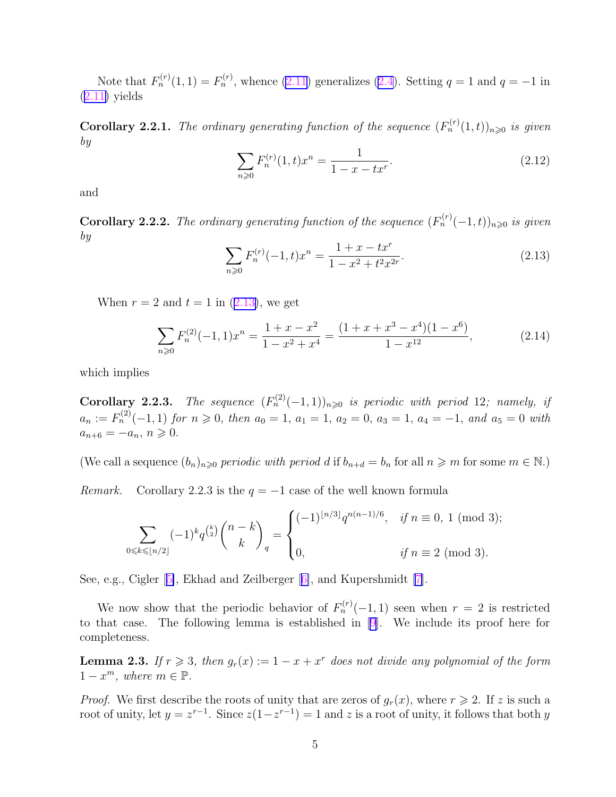<span id="page-4-0"></span>Note that  $F_n^{(r)}(1,1) = F_n^{(r)}$ , whence  $(2.11)$  $(2.11)$  generalizes  $(2.4)$ . Setting  $q = 1$  and  $q = -1$  in  $(2.11)$  $(2.11)$  yields

**Corollary 2.2.1.** The ordinary generating function of the sequence  $(F_n^{(r)}(1,t))_{n\geqslant0}$  is given by

$$
\sum_{n\geqslant 0} F_n^{(r)}(1,t)x^n = \frac{1}{1-x-tx^r}.\tag{2.12}
$$

and

**Corollary 2.2.2.** The ordinary generating function of the sequence  $(F_n^{(r)}(-1,t))_{n\geqslant0}$  is given by

$$
\sum_{n\geqslant 0} F_n^{(r)}(-1,t)x^n = \frac{1+x-tx^r}{1-x^2+t^2x^{2r}}.
$$
\n(2.13)

When  $r = 2$  and  $t = 1$  in  $(2.13)$ , we get

$$
\sum_{n\geqslant 0} F_n^{(2)}(-1,1)x^n = \frac{1+x-x^2}{1-x^2+x^4} = \frac{(1+x+x^3-x^4)(1-x^6)}{1-x^{12}},\tag{2.14}
$$

which implies

**Corollary 2.2.3.** The sequence  $(F_n^{(2)}(-1,1))_{n\geqslant0}$  is periodic with period 12; namely, if  $a_n := F_n^{(2)}(-1,1)$  for  $n \geq 0$ , then  $a_0 = 1$ ,  $a_1 = 1$ ,  $a_2 = 0$ ,  $a_3 = 1$ ,  $a_4 = -1$ , and  $a_5 = 0$  with  $a_{n+6} = -a_n, n \geqslant 0.$ 

(We call a sequence  $(b_n)_{n\geqslant 0}$  periodic with period d if  $b_{n+d} = b_n$  for all  $n \geqslant m$  for some  $m \in \mathbb{N}$ .)

Remark. Corollary 2.2.3 is the  $q = -1$  case of the well known formula

$$
\sum_{0 \le k \le \lfloor n/2 \rfloor} (-1)^k q^{\binom{k}{2}} \binom{n-k}{k}_q = \begin{cases} (-1)^{\lfloor n/3 \rfloor} q^{n(n-1)/6}, & \text{if } n \equiv 0, 1 \pmod{3}; \\ 0, & \text{if } n \equiv 2 \pmod{3}. \end{cases}
$$

See, e.g., Cigler [[5\]](#page-16-0), Ekhad and Zeilberger [[6\]](#page-16-0), and Kupershmidt [\[7\]](#page-16-0).

We now show that the periodic behavior of  $F_n^{(r)}(-1,1)$  seen when  $r = 2$  is restricted to that case. The following lemma is established in [\[9\]](#page-16-0). We include its proof here for completeness.

**Lemma 2.3.** If  $r \geq 3$ , then  $g_r(x) := 1 - x + x^r$  does not divide any polynomial of the form  $1-x^m$ , where  $m \in \mathbb{P}$ .

*Proof.* We first describe the roots of unity that are zeros of  $q_r(x)$ , where  $r \geq 2$ . If z is such a root of unity, let  $y = z^{r-1}$ . Since  $z(1-z^{r-1}) = 1$  and z is a root of unity, it follows that both y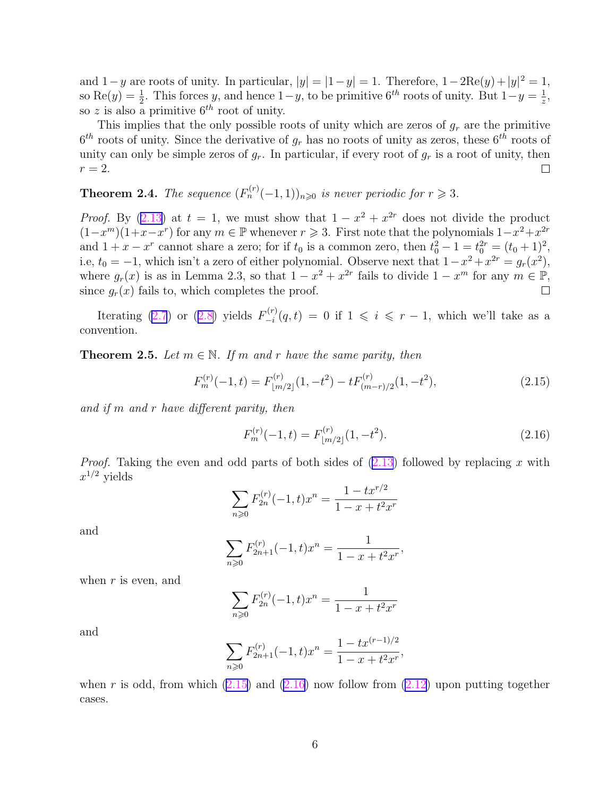<span id="page-5-0"></span>and  $1-y$  are roots of unity. In particular,  $|y| = |1-y| = 1$ . Therefore,  $1-2\text{Re}(y) + |y|^2 = 1$ , so Re $(y) = \frac{1}{2}$  $\frac{1}{2}$ . This forces y, and hence  $1-y$ , to be primitive  $6^{th}$  roots of unity. But  $1-y=\frac{1}{z}$  $\frac{1}{z}$ , so z is also a primitive  $6^{th}$  root of unity.

This implies that the only possible roots of unity which are zeros of  $g_r$  are the primitive  $6<sup>th</sup>$  roots of unity. Since the derivative of  $g_r$  has no roots of unity as zeros, these  $6<sup>th</sup>$  roots of unity can only be simple zeros of  $g_r$ . In particular, if every root of  $g_r$  is a root of unity, then  $r=2$ .  $\Box$ 

**Theorem 2.4.** The sequence  $(F_n^{(r)}(-1, 1))_{n \geq 0}$  is never periodic for  $r \geq 3$ .

*Proof.* By [\(2.13\)](#page-4-0) at  $t = 1$ , we must show that  $1 - x^2 + x^{2r}$  does not divide the product  $(1-x^m)(1+x-x^r)$  for any  $m \in \mathbb{P}$  whenever  $r \geq 3$ . First note that the polynomials  $1-x^2+x^{2r}$ and  $1 + x - x^r$  cannot share a zero; for if  $t_0$  is a common zero, then  $t_0^2 - 1 = t_0^{2r} = (t_0 + 1)^2$ , i.e,  $t_0 = -1$ , which isn't a zero of either polynomial. Observe next that  $1 - x^2 + x^{2r} = g_r(x^2)$ , where  $g_r(x)$  is as in Lemma 2.3, so that  $1 - x^2 + x^{2r}$  fails to divide  $1 - x^m$  for any  $m \in \mathbb{P}$ , since  $g_r(x)$  fails to, which completes the proof.  $\Box$ 

Iterating [\(2.7](#page-2-0)) or ([2.8\)](#page-2-0) yields  $F_{-i}^{(r)}$  $\int_{-i}^{(r)}(q,t) = 0$  if  $1 \leq i \leq r-1$ , which we'll take as a convention.

**Theorem 2.5.** Let  $m \in \mathbb{N}$ . If m and r have the same parity, then

$$
F_m^{(r)}(-1,t) = F_{\lfloor m/2 \rfloor}^{(r)}(1, -t^2) - tF_{(m-r)/2}^{(r)}(1, -t^2),
$$
\n(2.15)

and if m and r have different parity, then

$$
F_m^{(r)}(-1,t) = F_{\lfloor m/2 \rfloor}^{(r)}(1, -t^2). \tag{2.16}
$$

*Proof.* Taking the even and odd parts of both sides of  $(2.13)$  $(2.13)$  followed by replacing x with  $x^{1/2}$  yields

$$
\sum_{n\geqslant 0} F_{2n}^{(r)}(-1,t)x^n = \frac{1 - tx^{r/2}}{1 - x + t^2x^r}
$$

and

$$
\sum_{n\geqslant 0} F_{2n+1}^{(r)}(-1,t)x^n = \frac{1}{1-x+t^2x^r},
$$

when  $r$  is even, and

$$
\sum_{n\geqslant 0} F_{2n}^{(r)}(-1, t)x^n = \frac{1}{1 - x + t^2 x^r}
$$

and

$$
\sum_{n\geqslant 0} F_{2n+1}^{(r)}(-1,t)x^n = \frac{1 - tx^{(r-1)/2}}{1 - x + t^2x^r},
$$

when r is odd, from which  $(2.15)$  and  $(2.16)$  now follow from  $(2.12)$  upon putting together cases.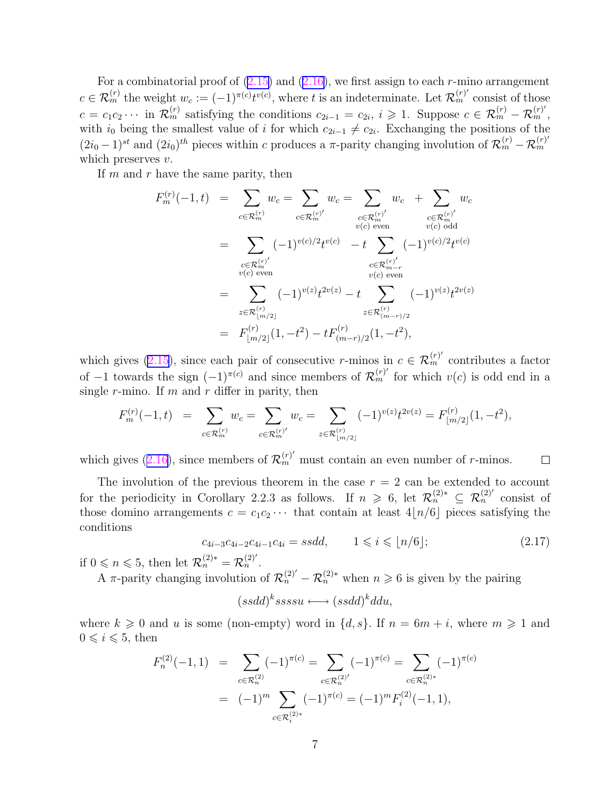For a combinatorial proof of  $(2.15)$  and  $(2.16)$  $(2.16)$ , we first assign to each r-mino arrangement  $c \in \mathcal{R}_m^{(r)}$  the weight  $w_c := (-1)^{\pi(c)} t^{v(c)}$ , where t is an indeterminate. Let  $\mathcal{R}_m^{(r)}$  consist of those  $c = c_1 c_2 \cdots$  in  $\mathcal{R}_m^{(r)}$  satisfying the conditions  $c_{2i-1} = c_{2i}, i \geq 1$ . Suppose  $c \in \mathcal{R}_m^{(r)} - \mathcal{R}_m^{(r)}$ , with  $i_0$  being the smallest value of i for which  $c_{2i-1} \neq c_{2i}$ . Exchanging the positions of the  $(2i_0-1)^{st}$  and  $(2i_0)^{th}$  pieces within c produces a  $\pi$ -parity changing involution of  $\mathcal{R}_m^{(r)} - \mathcal{R}_m^{(r)}$ m which preserves  $v$ .

If  $m$  and  $r$  have the same parity, then

$$
F_m^{(r)}(-1,t) = \sum_{c \in \mathcal{R}_m^{(r)}} w_c = \sum_{c \in \mathcal{R}_m^{(r)}} w_c = \sum_{\substack{c \in \mathcal{R}_m^{(r)}} w_c} w_c + \sum_{\substack{c \in \mathcal{R}_m^{(r)}} w_c \\ v(c) \text{ even}}} w_c
$$
  
\n
$$
= \sum_{\substack{c \in \mathcal{R}_m^{(r)}}} (-1)^{v(c)/2} t^{v(c)} - t \sum_{\substack{c \in \mathcal{R}_m^{(r)}}} (-1)^{v(c)/2} t^{v(c)}
$$
  
\n
$$
= \sum_{\substack{c \in \mathcal{R}_m^{(r)}}} (-1)^{v(z)} t^{2v(z)} - t \sum_{\substack{c \in \mathcal{R}_m^{(r)}}} (-1)^{v(z)} t^{2v(z)}
$$
  
\n
$$
= F_{\lfloor m/2 \rfloor}^{(r)} (1, -t^2) - t F_{(m-r)/2}^{(r)} (1, -t^2),
$$

which gives [\(2.15\)](#page-5-0), since each pair of consecutive r-minos in  $c \in \mathcal{R}_m^{(r)}$  contributes a factor of  $-1$  towards the sign  $(-1)^{\pi(c)}$  and since members of  $\mathcal{R}_m^{(r)}$  for which  $v(c)$  is odd end in a single  $r$ -mino. If  $m$  and  $r$  differ in parity, then

$$
F_m^{(r)}(-1,t) = \sum_{c \in \mathcal{R}_m^{(r)}} w_c = \sum_{c \in \mathcal{R}_m^{(r)}} w_c = \sum_{z \in \mathcal{R}_{\lfloor m/2 \rfloor}^{(r)}} (-1)^{v(z)} t^{2v(z)} = F_{\lfloor m/2 \rfloor}^{(r)}(1, -t^2),
$$

which gives ([2.16\)](#page-5-0), since members of  $\mathcal{R}_m^{(r)}$  must contain an even number of r-minos.  $\Box$ 

The involution of the previous theorem in the case  $r = 2$  can be extended to account for the periodicity in Corollary 2.2.3 as follows. If  $n \ge 6$ , let  $\mathcal{R}_n^{(2)*} \subseteq \mathcal{R}_n^{(2)'}$  consist of those domino arrangements  $c = c_1c_2 \cdots$  that contain at least  $4|n/6|$  pieces satisfying the conditions

$$
c_{4i-3}c_{4i-2}c_{4i-1}c_{4i} = ssdd, \qquad 1 \leqslant i \leqslant \lfloor n/6 \rfloor; \tag{2.17}
$$

if  $0 \leqslant n \leqslant 5$ , then let  $\mathcal{R}_n^{(2)*} = \mathcal{R}_n^{(2)'}$ .

A  $\pi$ -parity changing involution of  $\mathcal{R}_n^{(2)'} - \mathcal{R}_n^{(2)*}$  when  $n \geq 6$  is given by the pairing

 $(s\text{odd})^k s\text{ss}\text{su} \longleftrightarrow (s\text{odd})^k d\text{du},$ 

where  $k \geq 0$  and u is some (non-empty) word in  $\{d, s\}$ . If  $n = 6m + i$ , where  $m \geq 1$  and  $0 \leq i \leq 5$ , then

$$
F_n^{(2)}(-1,1) = \sum_{c \in \mathcal{R}_n^{(2)}} (-1)^{\pi(c)} = \sum_{c \in \mathcal{R}_n^{(2)'}} (-1)^{\pi(c)} = \sum_{c \in \mathcal{R}_n^{(2)*}} (-1)^{\pi(c)}
$$
  
= 
$$
(-1)^m \sum_{c \in \mathcal{R}_i^{(2)*}} (-1)^{\pi(c)} = (-1)^m F_i^{(2)}(-1,1),
$$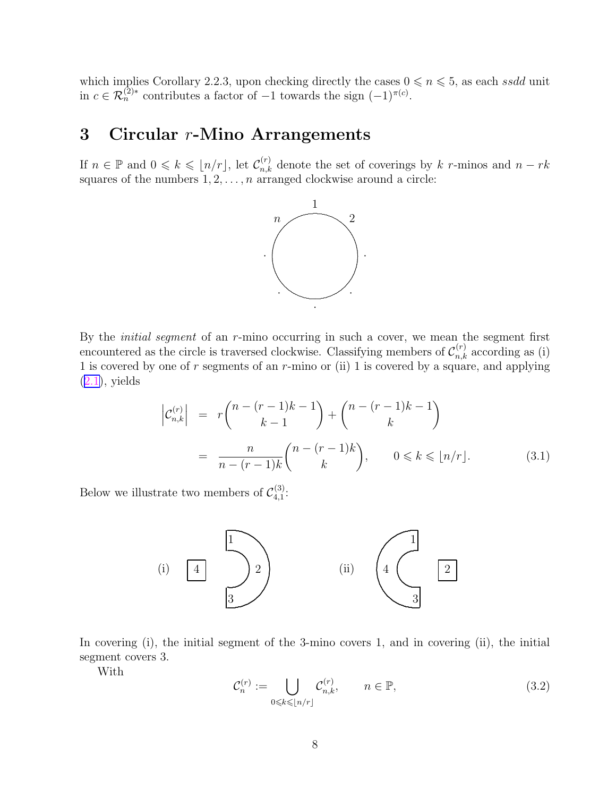<span id="page-7-0"></span>which implies Corollary 2.2.3, upon checking directly the cases  $0 \leq n \leq 5$ , as each ssdd unit in  $c \in \mathcal{R}_n^{(2)*}$  contributes a factor of  $-1$  towards the sign  $(-1)^{\pi(c)}$ .

## 3 Circular r-Mino Arrangements

If  $n \in \mathbb{P}$  and  $0 \leq k \leq \lfloor n/r \rfloor$ , let  $\mathcal{C}_{n,k}^{(r)}$  denote the set of coverings by k r-minos and  $n - rk$ squares of the numbers  $1, 2, \ldots, n$  arranged clockwise around a circle:



By the *initial segment* of an  $r$ -mino occurring in such a cover, we mean the segment first encountered as the circle is traversed clockwise. Classifying members of  $\mathcal{C}_{n,k}^{(r)}$  according as (i) 1 is covered by one of r segments of an r-mino or (ii) 1 is covered by a square, and applying  $(2.1)$  $(2.1)$ , yields

$$
\begin{aligned}\n\left| \mathcal{C}_{n,k}^{(r)} \right| &= r \binom{n - (r - 1)k - 1}{k - 1} + \binom{n - (r - 1)k - 1}{k} \\
&= \frac{n}{n - (r - 1)k} \binom{n - (r - 1)k}{k}, \qquad 0 \leq k \leq \lfloor n/r \rfloor.\n\end{aligned} \tag{3.1}
$$

Below we illustrate two members of  $\mathcal{C}_{4,1}^{(3)}$  $_{4,1}^{(5)}$ :



In covering (i), the initial segment of the 3-mino covers 1, and in covering (ii), the initial segment covers 3.

With

$$
\mathcal{C}_n^{(r)} := \bigcup_{0 \le k \le \lfloor n/r \rfloor} \mathcal{C}_{n,k}^{(r)}, \qquad n \in \mathbb{P},\tag{3.2}
$$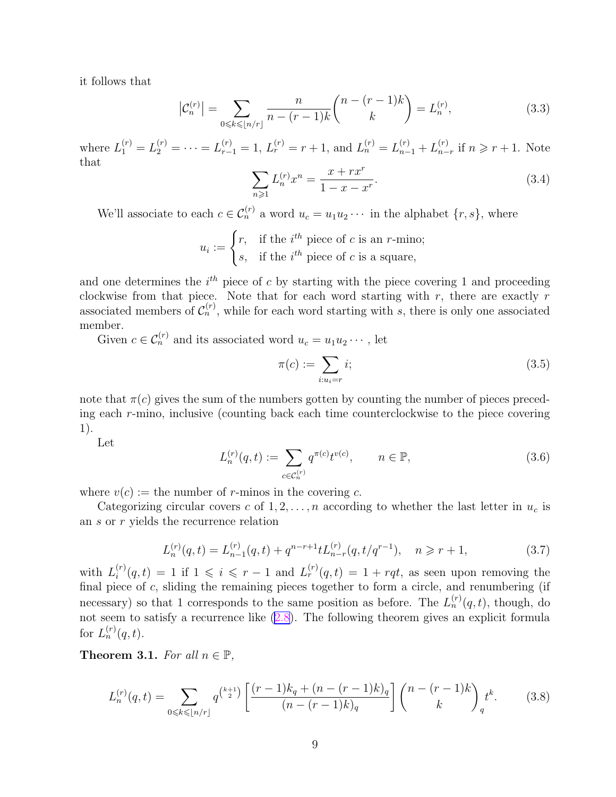<span id="page-8-0"></span>it follows that

$$
\left|\mathcal{C}_{n}^{(r)}\right| = \sum_{0 \le k \le \lfloor n/r \rfloor} \frac{n}{n - (r-1)k} {n - (r-1)k \choose k} = L_{n}^{(r)},\tag{3.3}
$$

where  $L_1^{(r)} = L_2^{(r)} = \cdots = L_{r-1}^{(r)} = 1$ ,  $L_r^{(r)} = r+1$ , and  $L_n^{(r)} = L_{n-1}^{(r)} + L_{n-1}^{(r)}$  $_{n-r}^{(r)}$  if  $n \geqslant r+1$ . Note that r

$$
\sum_{n\geqslant 1} L_n^{(r)} x^n = \frac{x + rx^r}{1 - x - x^r}.
$$
\n(3.4)

We'll associate to each  $c \in C_n^{(r)}$  a word  $u_c = u_1 u_2 \cdots$  in the alphabet  $\{r, s\}$ , where

 $u_i := \begin{cases} r, & \text{if the } i^{th} \text{ piece of } c \text{ is an } r\text{-mino;} \\ & \text{if } u_i \neq b \end{cases}$ s, if the  $i^{th}$  piece of c is a square,

and one determines the  $i<sup>th</sup>$  piece of c by starting with the piece covering 1 and proceeding clockwise from that piece. Note that for each word starting with  $r$ , there are exactly  $r$ associated members of  $\mathcal{C}_n^{(r)}$ , while for each word starting with s, there is only one associated member.

Given  $c \in C_n^{(r)}$  and its associated word  $u_c = u_1 u_2 \cdots$ , let

$$
\pi(c) := \sum_{i:u_i=r} i;
$$
\n
$$
(3.5)
$$

note that  $\pi(c)$  gives the sum of the numbers gotten by counting the number of pieces preceding each r-mino, inclusive (counting back each time counterclockwise to the piece covering 1).

Let

$$
L_n^{(r)}(q,t) := \sum_{c \in \mathcal{C}_n^{(r)}} q^{\pi(c)} t^{v(c)}, \qquad n \in \mathbb{P},
$$
\n(3.6)

where  $v(c) :=$  the number of r-minos in the covering c.

Categorizing circular covers c of  $1, 2, \ldots, n$  according to whether the last letter in  $u_c$  is an s or r yields the recurrence relation

$$
L_n^{(r)}(q,t) = L_{n-1}^{(r)}(q,t) + q^{n-r+1} t L_{n-r}^{(r)}(q,t/q^{r-1}), \quad n \ge r+1,
$$
\n(3.7)

with  $L_i^{(r)}$  $i^{(r)}(q,t) = 1$  if  $1 \leqslant i \leqslant r-1$  and  $L_r^{(r)}(q,t) = 1 + rqt$ , as seen upon removing the final piece of  $c$ , sliding the remaining pieces together to form a circle, and renumbering (if necessary) so that 1 corresponds to the same position as before. The  $L_n^{(r)}(q,t)$ , though, do not seem to satisfy a recurrence like [\(2.8](#page-2-0)). The following theorem gives an explicit formula for  $L_n^{(r)}(q,t)$ .

Theorem 3.1. For all  $n \in \mathbb{P}$ ,

$$
L_n^{(r)}(q,t) = \sum_{0 \le k \le \lfloor n/r \rfloor} q^{\binom{k+1}{2}} \left[ \frac{(r-1)k_q + (n - (r-1)k)_q}{(n - (r-1)k)_q} \right] \binom{n - (r-1)k}{k}_q t^k. \tag{3.8}
$$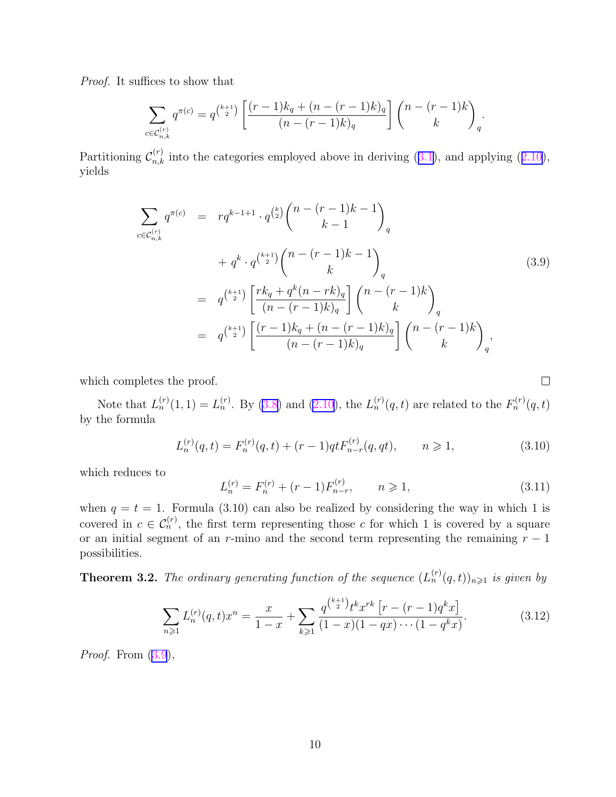<span id="page-9-0"></span>Proof. It suffices to show that

$$
\sum_{c \in \mathcal{C}_{n,k}^{(r)}} q^{\pi(c)} = q^{\binom{k+1}{2}} \left[ \frac{(r-1)k_q + (n - (r-1)k)_q}{(n - (r-1)k)_q} \right] \binom{n - (r-1)k}{k}_q.
$$

Partitioning  $\mathcal{C}_{n,k}^{(r)}$  into the categories employed above in deriving ([3.1\)](#page-7-0), and applying ([2.10](#page-3-0)), yields

$$
\sum_{c \in C_{n,k}^{(r)}} q^{\pi(c)} = r q^{k-1+1} \cdot q^{\binom{k}{2}} {\binom{n-(r-1)k-1}{k-1}}_q
$$
  
+  $q^k \cdot q^{\binom{k+1}{2}} {\binom{n-(r-1)k-1}{k}}_q$   
=  $q^{\binom{k+1}{2}} \left[ \frac{rk_q + q^k (n-rk)_q}{(n-(r-1)k)_q} \right] {\binom{n-(r-1)k}{k}}_q$   
=  $q^{\binom{k+1}{2}} \left[ \frac{(r-1)k_q + (n-(r-1)k)_q}{(n-(r-1)k)_q} \right] {\binom{n-(r-1)k}{k}}_q$ , (3.9)

which completes the proof.

Note that  $L_n^{(r)}(1,1) = L_n^{(r)}$ . By [\(3.8](#page-8-0)) and [\(2.10](#page-3-0)), the  $L_n^{(r)}(q,t)$  are related to the  $F_n^{(r)}(q,t)$ by the formula

$$
L_n^{(r)}(q,t) = F_n^{(r)}(q,t) + (r-1)qt F_{n-r}^{(r)}(q,qt), \qquad n \geq 1,
$$
\n(3.10)

which reduces to

$$
L_n^{(r)} = F_n^{(r)} + (r - 1)F_{n-r}^{(r)}, \qquad n \geqslant 1,
$$
\n(3.11)

 $\Box$ 

when  $q = t = 1$ . Formula (3.10) can also be realized by considering the way in which 1 is covered in  $c \in C_n^{(r)}$ , the first term representing those c for which 1 is covered by a square or an initial segment of an r-mino and the second term representing the remaining  $r - 1$ possibilities.

**Theorem 3.2.** The ordinary generating function of the sequence  $(L_n^{(r)}(q,t))_{n\geqslant1}$  is given by

$$
\sum_{n\geqslant 1} L_n^{(r)}(q,t)x^n = \frac{x}{1-x} + \sum_{k\geqslant 1} \frac{q^{\binom{k+1}{2}} t^k x^{rk} \left[r - (r-1)q^k x\right]}{(1-x)(1-qx)\cdots(1-q^k x)}.
$$
(3.12)

Proof. From  $(3.9)$ ,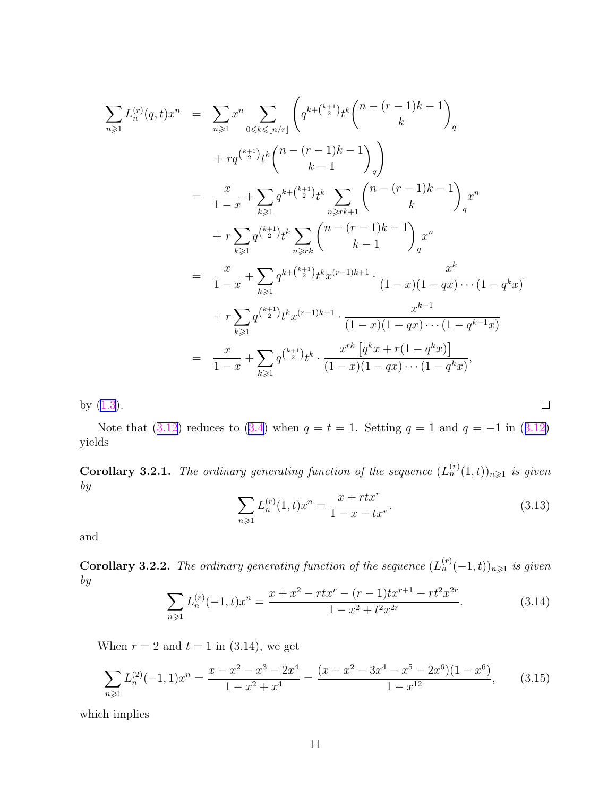<span id="page-10-0"></span>
$$
\sum_{n\geqslant 1} L_n^{(r)}(q,t)x^n = \sum_{n\geqslant 1} x^n \sum_{0 \leqslant k \leqslant \lfloor n/r \rfloor} \left( q^{k + \binom{k+1}{2}} t^k \binom{n-(r-1)k-1}{k} \right)_q
$$
\n
$$
+ r q^{\binom{k+1}{2}} t^k \binom{n-(r-1)k-1}{k-1}_q \right)
$$
\n
$$
= \frac{x}{1-x} + \sum_{k\geqslant 1} q^{k + \binom{k+1}{2}} t^k \sum_{n\geqslant rk+1} \binom{n-(r-1)k-1}{k}_q x^n
$$
\n
$$
+ r \sum_{k\geqslant 1} q^{\binom{k+1}{2}} t^k \sum_{n\geqslant rk} \binom{n-(r-1)k-1}{k-1}_q x^n
$$
\n
$$
= \frac{x}{1-x} + \sum_{k\geqslant 1} q^{k + \binom{k+1}{2}} t^k x^{(r-1)k+1} \cdot \frac{x^k}{(1-x)(1-qx)\cdots(1-q^k x)}
$$
\n
$$
+ r \sum_{k\geqslant 1} q^{\binom{k+1}{2}} t^k x^{(r-1)k+1} \cdot \frac{x^{k-1}}{(1-x)(1-qx)\cdots(1-q^{k-1}x)}
$$
\n
$$
= \frac{x}{1-x} + \sum_{k\geqslant 1} q^{\binom{k+1}{2}} t^k \cdot \frac{x^{rk} \left[ q^k x + r(1-q^k x) \right]}{(1-x)(1-qx)\cdots(1-q^k x)},
$$

by [\(1.3](#page-1-0)).

Note that ([3.12\)](#page-9-0) reduces to [\(3.4](#page-8-0)) when  $q = t = 1$ . Setting  $q = 1$  and  $q = -1$  in (3.12) yields

**Corollary 3.2.1.** The ordinary generating function of the sequence  $(L_n^{(r)}(1,t))_{n\geq 1}$  is given by

$$
\sum_{n\geqslant 1} L_n^{(r)}(1,t)x^n = \frac{x + rtx^r}{1 - x - tx^r}.
$$
\n(3.13)

 $\Box$ 

and

**Corollary 3.2.2.** The ordinary generating function of the sequence  $(L_n^{(r)}(-1,t))_{n\geqslant1}$  is given by 2  $(r + 1)(r + 1)$ 

$$
\sum_{n\geqslant 1} L_n^{(r)}(-1,t)x^n = \frac{x+x^2 - rtx^r - (r-1)tx^{r+1} - rt^2x^{2r}}{1 - x^2 + t^2x^{2r}}.
$$
\n(3.14)

When  $r = 2$  and  $t = 1$  in (3.14), we get

$$
\sum_{n\geqslant 1} L_n^{(2)}(-1,1)x^n = \frac{x - x^2 - x^3 - 2x^4}{1 - x^2 + x^4} = \frac{(x - x^2 - 3x^4 - x^5 - 2x^6)(1 - x^6)}{1 - x^{12}},\tag{3.15}
$$

which implies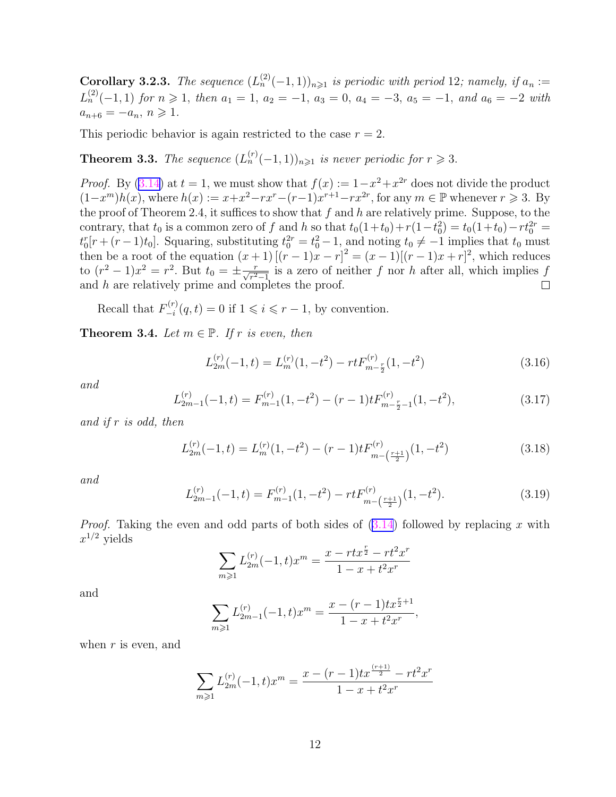<span id="page-11-0"></span>**Corollary 3.2.3.** The sequence  $(L_n^{(2)}(-1,1))_{n\geq 1}$  is periodic with period 12; namely, if  $a_n :=$  $L_n^{(2)}(-1,1)$  for  $n \geq 1$ , then  $a_1 = 1$ ,  $a_2 = -1$ ,  $a_3 = 0$ ,  $a_4 = -3$ ,  $a_5 = -1$ , and  $a_6 = -2$  with  $a_{n+6} = -a_n, n \geq 1.$ 

This periodic behavior is again restricted to the case  $r = 2$ .

**Theorem 3.3.** The sequence  $(L_n^{(r)}(-1,1))_{n\geqslant1}$  is never periodic for  $r\geqslant3$ .

*Proof.* By ([3.14\)](#page-10-0) at  $t = 1$ , we must show that  $f(x) := 1 - x^2 + x^{2r}$  does not divide the product  $(1-x^m)h(x)$ , where  $h(x) := x+x^2-rx^r-(r-1)x^{r+1}-rx^{2r}$ , for any  $m \in \mathbb{P}$  whenever  $r \geq 3$ . By the proof of Theorem 2.4, it suffices to show that  $f$  and  $h$  are relatively prime. Suppose, to the contrary, that  $t_0$  is a common zero of f and h so that  $t_0(1+t_0)+r(1-t_0^2) = t_0(1+t_0)-rt_0^{2r} =$ 0  $t_0^r[r+(r-1)t_0]$ . Squaring, substituting  $t_0^2 = t_0^2 - 1$ , and noting  $t_0 \neq -1$  implies that  $t_0$  must then be a root of the equation  $(x+1)$   $[(r-1)x - r]^2 = (x-1)[(r-1)x + r]^2$ , which reduces to  $(r^2 - 1)x^2 = r^2$ . But  $t_0 = \pm \frac{r}{\sqrt{r^2 - 1}}$  is a zero of neither f nor h after all, which implies f and h are relatively prime and completes the proof.

Recall that  $F_{-i}^{(r)}$  $\int_{-i}^{(r)}(q,t) = 0$  if  $1 \leq i \leq r-1$ , by convention.

**Theorem 3.4.** Let  $m \in \mathbb{P}$ . If r is even, then

$$
L_{2m}^{(r)}(-1,t) = L_m^{(r)}(1, -t^2) - r t F_{m-\frac{r}{2}}^{(r)}(1, -t^2)
$$
\n(3.16)

and

$$
L_{2m-1}^{(r)}(-1,t) = F_{m-1}^{(r)}(1,-t^2) - (r-1)t F_{m-\frac{r}{2}-1}^{(r)}(1,-t^2),
$$
\n(3.17)

and if r is odd, then

$$
L_{2m}^{(r)}(-1,t) = L_m^{(r)}(1,-t^2) - (r-1)t F_{m-\left(\frac{r+1}{2}\right)}^{(r)}(1,-t^2)
$$
\n(3.18)

and

$$
L_{2m-1}^{(r)}(-1,t) = F_{m-1}^{(r)}(1, -t^2) - r t F_{m-}^{(r)}(1, -t^2).
$$
\n(3.19)

*Proof.* Taking the even and odd parts of both sides of  $(3.14)$  $(3.14)$  followed by replacing x with  $x^{1/2}$  yields

$$
\sum_{m\geqslant 1} L_{2m}^{(r)}(-1, t)x^m = \frac{x - rtx^{\frac{r}{2}} - rt^2x^r}{1 - x + t^2x^r}
$$

and

$$
\sum_{m\geqslant 1}L_{2m-1}^{(r)}(-1,t)x^m=\frac{x-(r-1)tx^{\frac{r}{2}+1}}{1-x+t^2x^r},
$$

when  $r$  is even, and

$$
\sum_{m\geqslant 1} L_{2m}^{(r)}(-1,t)x^m = \frac{x - (r-1)tx^{\frac{(r+1)}{2}} - rt^2x^r}{1 - x + t^2x^r}
$$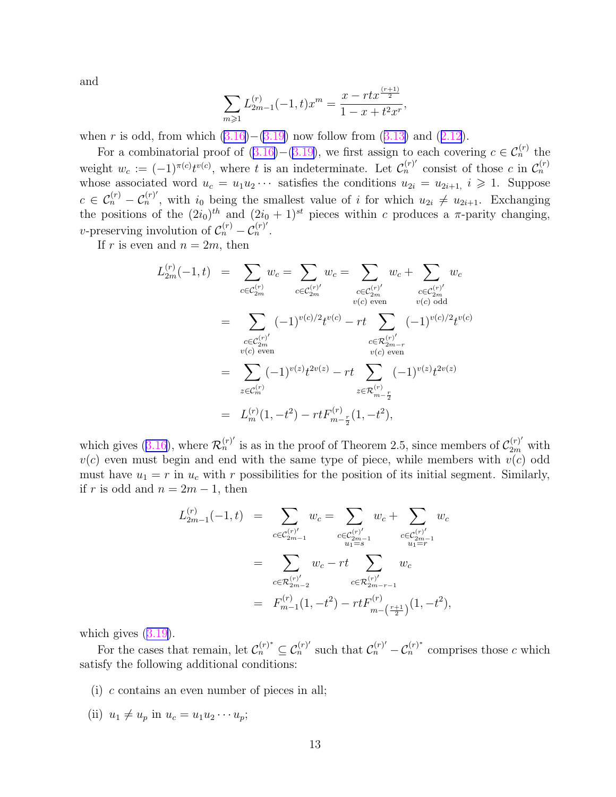and

$$
\sum_{m\geqslant 1} L_{2m-1}^{(r)}(-1,t)x^m = \frac{x - rtx^{\frac{(r+1)}{2}}}{1 - x + t^2x^r},
$$

when r is odd, from which  $(3.16)-(3.19)$  $(3.16)-(3.19)$  $(3.16)-(3.19)$  $(3.16)-(3.19)$  now follow from  $(3.13)$  $(3.13)$  and  $(2.12)$  $(2.12)$ .

For a combinatorial proof of  $(3.16)$  $(3.16)$ – $(3.19)$  $(3.19)$ , we first assign to each covering  $c \in C_n^{(r)}$  the weight  $w_c := (-1)^{\pi(c)} t^{v(c)}$ , where t is an indeterminate. Let  $\mathcal{C}_n^{(r)}$  consist of those c in  $\mathcal{C}_n^{(r)}$ whose associated word  $u_c = u_1 u_2 \cdots$  satisfies the conditions  $u_{2i} = u_{2i+1}$ ,  $i \geq 1$ . Suppose  $c \in \mathcal{C}_n^{(r)} - \mathcal{C}_n^{(r)}$ , with  $i_0$  being the smallest value of i for which  $u_{2i} \neq u_{2i+1}$ . Exchanging the positions of the  $(2i_0)^{th}$  and  $(2i_0 + 1)^{st}$  pieces within c produces a  $\pi$ -parity changing, v-preserving involution of  $\mathcal{C}_n^{(r)} - \mathcal{C}_n^{(r)}$ .

If r is even and  $n = 2m$ , then

$$
L_{2m}^{(r)}(-1,t) = \sum_{c \in C_{2m}^{(r)}} w_c = \sum_{c \in C_{2m}^{(r)}} w_c = \sum_{c \in C_{2m}^{(r)}} w_c + \sum_{c \in C_{2m}^{(r)}} w_c
$$
  
\n
$$
= \sum_{\substack{c \in C_{2m}^{(r)}}} (-1)^{v(c)/2} t^{v(c)} - rt \sum_{\substack{c \in \mathcal{R}_{2m-r}^{(r)}}} (-1)^{v(c)/2} t^{v(c)}
$$
  
\n
$$
= \sum_{\substack{c \in C_{2m}^{(r)}}} (-1)^{v(z)} t^{2v(z)} - rt \sum_{\substack{c \in \mathcal{R}_{2m-r}^{(r)}}} (-1)^{v(z)} t^{2v(z)}
$$
  
\n
$$
= \sum_{z \in C_m^{(r)}} (-1)^{v(z)} t^{2v(z)} - rt \sum_{z \in \mathcal{R}_{m-\frac{r}{2}}^{(r)}} (-1)^{v(z)} t^{2v(z)}
$$
  
\n
$$
= L_m^{(r)}(1, -t^2) - rt F_{m-\frac{r}{2}}^{(r)}(1, -t^2),
$$

which gives ([3.16\)](#page-11-0), where  $\mathcal{R}_n^{(r)}$  is as in the proof of Theorem 2.5, since members of  $\mathcal{C}_{2m}^{(r)}$  with  $v(c)$  even must begin and end with the same type of piece, while members with  $v(c)$  odd must have  $u_1 = r$  in  $u_c$  with r possibilities for the position of its initial segment. Similarly, if r is odd and  $n = 2m - 1$ , then

$$
L_{2m-1}^{(r)}(-1,t) = \sum_{c \in \mathcal{C}_{2m-1}^{(r)'}} w_c = \sum_{\substack{c \in \mathcal{C}_{2m-1}^{(r)'}}{u_1 = s}} w_c + \sum_{\substack{c \in \mathcal{C}_{2m-1}^{(r)'}}{u_1 = r}} w_c
$$
  

$$
= \sum_{c \in \mathcal{R}_{2m-2}^{(r)'}} w_c - rt \sum_{c \in \mathcal{R}_{2m-r-1}^{(r)'}} w_c
$$
  

$$
= F_{m-1}^{(r)}(1, -t^2) - rt F_{m-1}^{(r)}(1, -t^2),
$$

which gives  $(3.19)$  $(3.19)$ .

For the cases that remain, let  $\mathcal{C}_n^{(r)*} \subseteq \mathcal{C}_n^{(r)}'$  such that  $\mathcal{C}_n^{(r)}' - \mathcal{C}_n^{(r)*}$  comprises those c which satisfy the following additional conditions:

- (i) c contains an even number of pieces in all;
- (ii)  $u_1 \neq u_p$  in  $u_c = u_1 u_2 \cdots u_p$ ;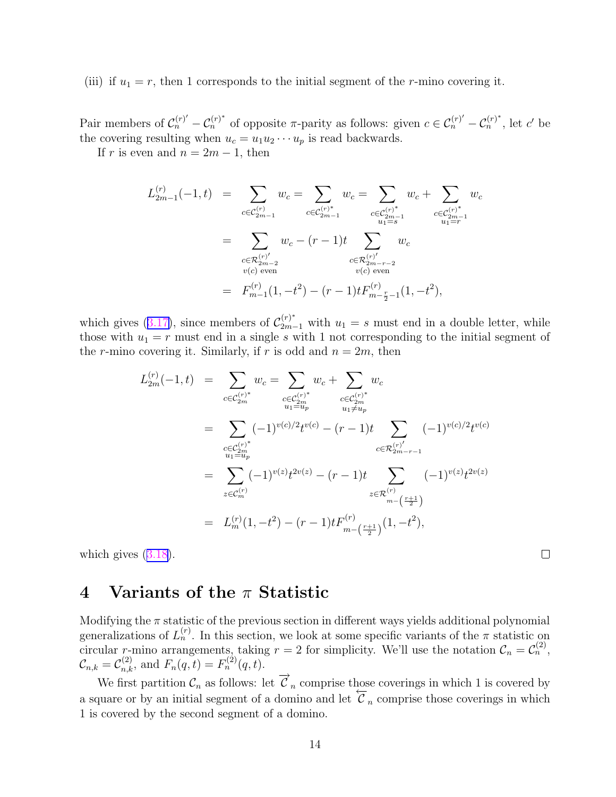(iii) if  $u_1 = r$ , then 1 corresponds to the initial segment of the *r*-mino covering it.

Pair members of  $\mathcal{C}_n^{(r)} - \mathcal{C}_n^{(r)^*}$  of opposite  $\pi$ -parity as follows: given  $c \in \mathcal{C}_n^{(r)} - \mathcal{C}_n^{(r)^*}$ , let  $c'$  be the covering resulting when  $u_c = u_1 u_2 \cdots u_p$  is read backwards.

If r is even and  $n = 2m - 1$ , then

$$
L_{2m-1}^{(r)}(-1,t) = \sum_{c \in \mathcal{C}_{2m-1}^{(r)}} w_c = \sum_{c \in \mathcal{C}_{2m-1}^{(r)*}} w_c = \sum_{c \in \mathcal{C}_{2m-1}^{(r)*}} w_c + \sum_{c \in \mathcal{C}_{2m-1}^{(r)*}} w_c
$$
  
\n
$$
= \sum_{\substack{c \in \mathcal{R}_{2m-2}^{(r)'}}} w_c - (r-1)t \sum_{\substack{c \in \mathcal{R}_{2m-r-2}^{(r)'}}} w_c
$$
  
\n
$$
= F_{m-1}^{(r)}(1, -t^2) - (r-1)t F_{m-\frac{r}{2}-1}^{(r)}(1, -t^2),
$$

which gives ([3.17\)](#page-11-0), since members of  $\mathcal{C}_{2m-1}^{(r)*}$  with  $u_1 = s$  must end in a double letter, while those with  $u_1 = r$  must end in a single s with 1 not corresponding to the initial segment of the r-mino covering it. Similarly, if r is odd and  $n = 2m$ , then

$$
L_{2m}^{(r)}(-1,t) = \sum_{c \in \mathcal{C}_{2m}^{(r)*}} w_c = \sum_{\substack{c \in \mathcal{C}_{2m}^{(r)*} \\ u_1 \equiv u_p \\ u_1 \neq u_p}} w_c + \sum_{\substack{c \in \mathcal{C}_{2m}^{(r)*} \\ u_1 \neq u_p \\ u_1 \neq u_p}} w_c
$$
  
\n
$$
= \sum_{\substack{c \in \mathcal{C}_{2m}^{(r)*} \\ u_1 \equiv u_p \\ u_1 \equiv u_p}} (-1)^{v(c)/2} t^{v(c)} - (r - 1)t \sum_{c \in \mathcal{R}_{2m-r-1}^{(r)}} (-1)^{v(c)/2} t^{v(c)}
$$
  
\n
$$
= \sum_{z \in \mathcal{C}_m^{(r)}} (-1)^{v(z)} t^{2v(z)} - (r - 1)t \sum_{z \in \mathcal{R}_{m-1}^{(r)}} (-1)^{v(z)} t^{2v(z)}
$$
  
\n
$$
= L_m^{(r)}(1, -t^2) - (r - 1)t F_{m-1}^{(r)}(1, -t^2),
$$

 $\Box$ 

which gives  $(3.18)$  $(3.18)$ .

#### 4 Variants of the  $\pi$  Statistic

Modifying the  $\pi$  statistic of the previous section in different ways yields additional polynomial generalizations of  $L_n^{(r)}$ . In this section, we look at some specific variants of the  $\pi$  statistic on circular r-mino arrangements, taking  $r = 2$  for simplicity. We'll use the notation  $\mathcal{C}_n = \mathcal{C}_n^{(2)}$ ,  $\mathcal{C}_{n,k} = \mathcal{C}_{n,k}^{(2)}$ , and  $F_n(q,t) = F_n^{(2)}(q,t)$ .

We first partition  $\mathcal{C}_n$  as follows: let  $\overrightarrow{\mathcal{C}}_n$  comprise those coverings in which 1 is covered by a square or by an initial segment of a domino and let  $\overline{C}_n$  comprise those coverings in which 1 is covered by the second segment of a domino.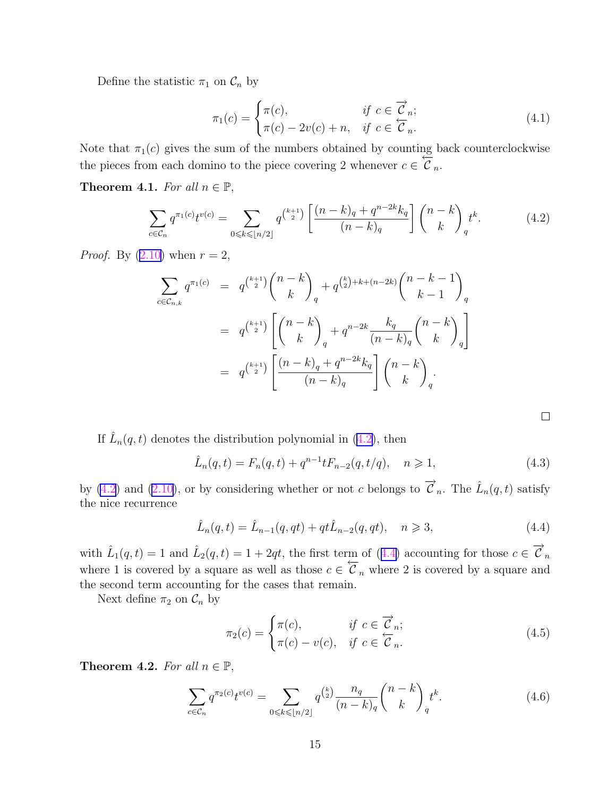<span id="page-14-0"></span>Define the statistic  $\pi_1$  on  $\mathcal{C}_n$  by

$$
\pi_1(c) = \begin{cases} \pi(c), & \text{if } c \in \overrightarrow{C}_n; \\ \pi(c) - 2v(c) + n, & \text{if } c \in \overleftarrow{C}_n. \end{cases}
$$
\n(4.1)

Note that  $\pi_1(c)$  gives the sum of the numbers obtained by counting back counterclockwise the pieces from each domino to the piece covering 2 whenever  $c \in \mathbb{R}$  $\frac{18}{2}$  ${\cal C}$   $_n.$ 

Theorem 4.1. For all  $n \in \mathbb{P}$ ,

$$
\sum_{c \in \mathcal{C}_n} q^{\pi_1(c)} t^{v(c)} = \sum_{0 \le k \le \lfloor n/2 \rfloor} q^{\binom{k+1}{2}} \left[ \frac{(n-k)_q + q^{n-2k} k_q}{(n-k)_q} \right] \binom{n-k}{k}_q t^k. \tag{4.2}
$$

*Proof.* By  $(2.10)$  $(2.10)$  when  $r = 2$ ,

$$
\sum_{c \in \mathcal{C}_{n,k}} q^{\pi_1(c)} = q^{\binom{k+1}{2}} \binom{n-k}{k}_q + q^{\binom{k}{2}+k+(n-2k)} \binom{n-k-1}{k-1}_q
$$
\n
$$
= q^{\binom{k+1}{2}} \left[ \binom{n-k}{k}_q + q^{n-2k} \frac{k_q}{(n-k)_q} \binom{n-k}{k}_q \right]
$$
\n
$$
= q^{\binom{k+1}{2}} \left[ \frac{(n-k)_q + q^{n-2k} k_q}{(n-k)_q} \right] \binom{n-k}{k}_q.
$$

If  $\hat{L}_n(q,t)$  denotes the distribution polynomial in  $(4.2)$ , then

$$
\hat{L}_n(q,t) = F_n(q,t) + q^{n-1} t F_{n-2}(q,t/q), \quad n \ge 1,
$$
\n(4.3)

 $\Box$ 

by  $(4.2)$  and  $(2.10)$ , or by considering whether or not c belongs to  $\overrightarrow{\mathcal{C}}_n$ . The  $\hat{L}_n(q,t)$  satisfy the nice recurrence

$$
\hat{L}_n(q,t) = \hat{L}_{n-1}(q,qt) + qt\hat{L}_{n-2}(q,qt), \quad n \ge 3,
$$
\n(4.4)

with  $\hat{L}_1(q,t) = 1$  and  $\hat{L}_2(q,t) = 1 + 2qt$ , the first term of (4.4) accounting for those  $c \in \mathbb{R}$ →−  ${\cal C}$  n where 1 is covered by a square as well as those  $c \in \mathbb{R}$ ←−  $\mathcal{C}_n$  where 2 is covered by a square and the second term accounting for the cases that remain.

Next define  $\pi_2$  on  $\mathcal{C}_n$  by

$$
\pi_2(c) = \begin{cases} \pi(c), & \text{if } c \in \overrightarrow{C}_n; \\ \pi(c) - v(c), & \text{if } c \in \overleftarrow{C}_n. \end{cases}
$$
\n(4.5)

Theorem 4.2. For all  $n \in \mathbb{P}$ ,

$$
\sum_{c \in \mathcal{C}_n} q^{\pi_2(c)} t^{v(c)} = \sum_{0 \le k \le \lfloor n/2 \rfloor} q^{\binom{k}{2}} \frac{n_q}{(n-k)_q} {n-k \choose k}_q t^k.
$$
 (4.6)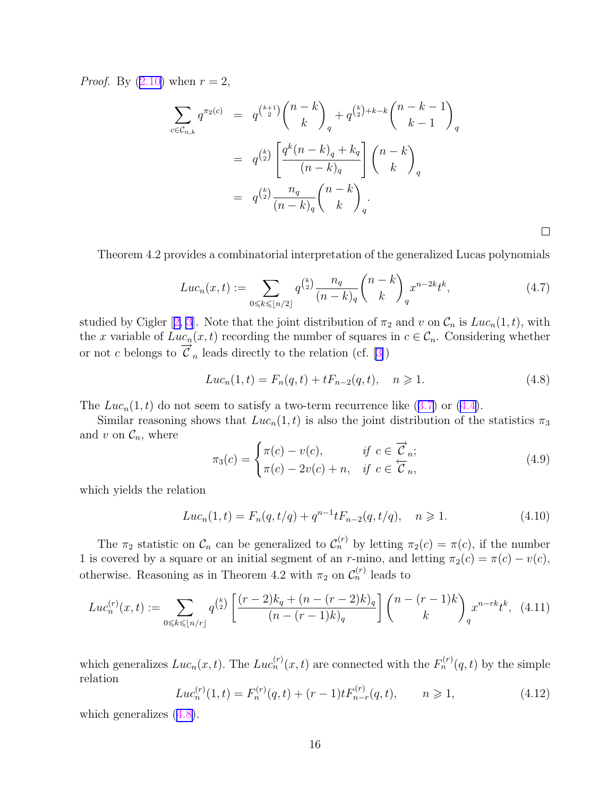<span id="page-15-0"></span>*Proof.* By  $(2.10)$  $(2.10)$  when  $r = 2$ ,

$$
\sum_{c \in \mathcal{C}_{n,k}} q^{\pi_2(c)} = q^{\binom{k+1}{2}} \binom{n-k}{k}_q + q^{\binom{k}{2}+k-k} \binom{n-k-1}{k-1}_q
$$
  

$$
= q^{\binom{k}{2}} \left[ \frac{q^k (n-k)_q + k_q}{(n-k)_q} \right] \binom{n-k}{k}_q
$$
  

$$
= q^{\binom{k}{2}} \frac{n_q}{(n-k)_q} \binom{n-k}{k}_q.
$$

Theorem 4.2 provides a combinatorial interpretation of the generalized Lucas polynomials

$$
Luc_n(x,t) := \sum_{0 \le k \le \lfloor n/2 \rfloor} q^{\binom{k}{2}} \frac{n_q}{(n-k)_q} {n-k \choose k}_q x^{n-2k} t^k,
$$
\n(4.7)

 $\Box$ 

studied by Cigler [[2,](#page-16-0) [3](#page-16-0)]. Note that the joint distribution of  $\pi_2$  and v on  $\mathcal{C}_n$  is  $Luc_n(1,t)$ , with the x variable of  $Luc_n(x,t)$  recording the number of squares in  $c \in \mathcal{C}_n$ . Considering whether or not c belongs to  $\rightarrow$  $\mathcal{C}_n$  leads directly to the relation (cf. [[3\]](#page-16-0))

$$
Luc_n(1,t) = F_n(q,t) + tF_{n-2}(q,t), \quad n \geq 1.
$$
\n(4.8)

The  $Luc_n(1,t)$  do not seem to satisfy a two-term recurrence like  $(3.7)$  $(3.7)$  or  $(4.4)$  $(4.4)$ .

Similar reasoning shows that  $Luc_n(1,t)$  is also the joint distribution of the statistics  $\pi_3$ and v on  $\mathcal{C}_n$ , where

$$
\pi_3(c) = \begin{cases} \pi(c) - v(c), & \text{if } c \in \overrightarrow{C}_n; \\ \pi(c) - 2v(c) + n, & \text{if } c \in \overleftarrow{C}_n, \end{cases}
$$
\n(4.9)

which yields the relation

$$
Luc_n(1,t) = F_n(q, t/q) + q^{n-1} t F_{n-2}(q, t/q), \quad n \geq 1.
$$
 (4.10)

The  $\pi_2$  statistic on  $\mathcal{C}_n$  can be generalized to  $\mathcal{C}_n^{(r)}$  by letting  $\pi_2(c) = \pi(c)$ , if the number 1 is covered by a square or an initial segment of an r-mino, and letting  $\pi_2(c) = \pi(c) - v(c)$ , otherwise. Reasoning as in Theorem 4.2 with  $\pi_2$  on  $\mathcal{C}_n^{(r)}$  leads to

$$
Luc_n^{(r)}(x,t) := \sum_{0 \le k \le \lfloor n/r \rfloor} q^{\binom{k}{2}} \left[ \frac{(r-2)k_q + (n - (r-2)k)_q}{(n - (r-1)k)_q} \right] \binom{n - (r-1)k}{k}_q x^{n - rk} t^k, \tag{4.11}
$$

which generalizes  $Luc_n(x,t)$ . The  $Luc_n^{(r)}(x,t)$  are connected with the  $F_n^{(r)}(q,t)$  by the simple relation

$$
Luc_n^{(r)}(1,t) = F_n^{(r)}(q,t) + (r-1)tF_{n-r}^{(r)}(q,t), \qquad n \geq 1,
$$
\n(4.12)

which generalizes  $(4.8)$ .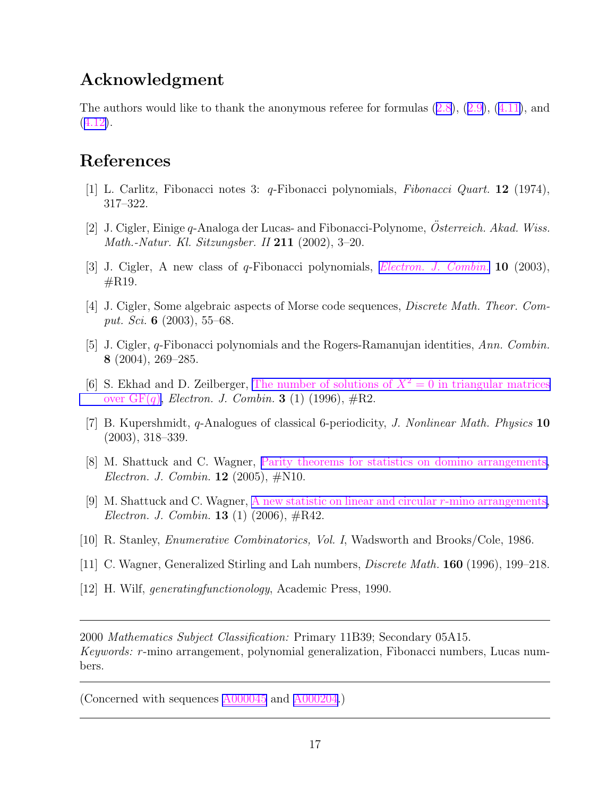## <span id="page-16-0"></span>Acknowledgment

The authors would like to thank the anonymous referee for formulas  $(2.8)$  $(2.8)$ ,  $(2.9)$  $(2.9)$ ,  $(4.11)$  $(4.11)$ , and ([4.12\)](#page-15-0).

## References

- [1] L. Carlitz, Fibonacci notes 3: q-Fibonacci polynomials, Fibonacci Quart. 12 (1974), 317–322.
- [2] J. Cigler, Einige  $q$ -Analoga der Lucas- and Fibonacci-Polynome,  $\ddot{O}$ sterreich. Akad. Wiss. *Math.-Natur. Kl. Sitzungsber. II* 211  $(2002)$ , 3-20.
- [3] J. Cigler, A new class of q-Fibonacci polynomials, [Electron.](http://www.combinatorics.org/Volume_10/Abstracts/v10i1r19.html) J. Combin. 10 (2003), #R19.
- [4] J. Cigler, Some algebraic aspects of Morse code sequences, Discrete Math. Theor. Comput. Sci. 6 (2003), 55–68.
- [5] J. Cigler, q-Fibonacci polynomials and the Rogers-Ramanujan identities, Ann. Combin. 8 (2004), 269–285.
- [6] S. Ekhad and D. Zeilberger, The number of solutions of  $X^2 = 0$  in [triangular](http://www.combinatorics.org/Volume_3/Abstracts/v3i1r2.html) matrices over  $GF(q)$  $GF(q)$ , *Electron. J. Combin.* **3** (1) (1996),  $\#R2$ .
- [7] B. Kupershmidt, q-Analogues of classical 6-periodicity, J. Nonlinear Math. Physics 10 (2003), 318–339.
- [8] M. Shattuck and C. Wagner, Parity theorems for statistics on domino [arrangements,](http://www.combinatorics.org/Volume_12/Abstracts/v12i1n10.html) *Electron. J. Combin.* **12** (2005),  $\#N10$ .
- [9] M. Shattuck and C. Wagner, A new statistic on linear and circular  $r$ -mino [arrangements,](http://www.combinatorics.org/Volume_13/Abstracts/v13i1r42.html) *Electron. J. Combin.* **13** (1) (2006),  $\#R42$ .
- [10] R. Stanley, Enumerative Combinatorics, Vol. I, Wadsworth and Brooks/Cole, 1986.
- [11] C. Wagner, Generalized Stirling and Lah numbers, Discrete Math. 160 (1996), 199–218.
- [12] H. Wilf, generatingfunctionology, Academic Press, 1990.

2000 Mathematics Subject Classification: Primary 11B39; Secondary 05A15. Keywords: r-mino arrangement, polynomial generalization, Fibonacci numbers, Lucas numbers.

(Concerned with sequences [A000045](http://www.research.att.com/cgi-bin/access.cgi/as/~njas/sequences/eisA.cgi?Anum=A000045) and [A000204.](http://www.research.att.com/cgi-bin/access.cgi/as/~njas/sequences/eisA.cgi?Anum=A000204))